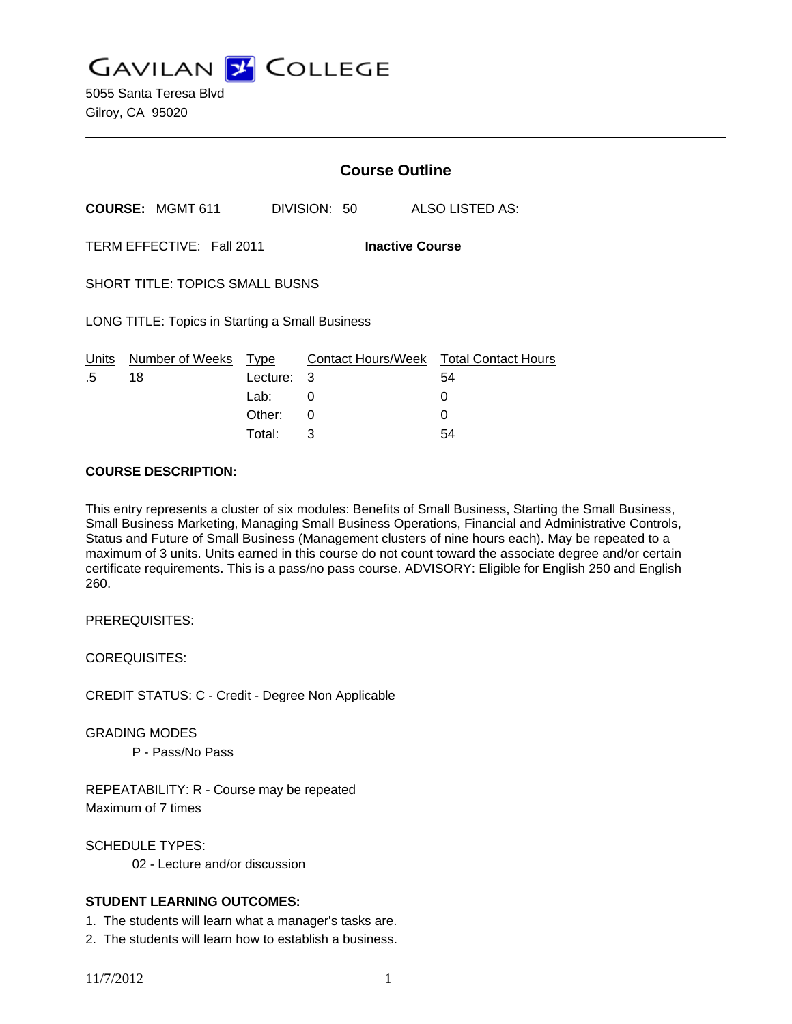**GAVILAN J COLLEGE** 

5055 Santa Teresa Blvd Gilroy, CA 95020

|                                                     |                         | <b>Course Outline</b> |              |                                        |
|-----------------------------------------------------|-------------------------|-----------------------|--------------|----------------------------------------|
|                                                     | <b>COURSE: MGMT 611</b> |                       | DIVISION: 50 | ALSO LISTED AS:                        |
| TERM EFFECTIVE: Fall 2011<br><b>Inactive Course</b> |                         |                       |              |                                        |
| SHORT TITLE: TOPICS SMALL BUSNS                     |                         |                       |              |                                        |
| LONG TITLE: Topics in Starting a Small Business     |                         |                       |              |                                        |
| Units                                               | Number of Weeks         | Type                  |              | Contact Hours/Week Total Contact Hours |
| .5                                                  | 18                      | Lecture:              | 3            | 54                                     |
|                                                     |                         | Lab:                  | 0            | 0                                      |
|                                                     |                         | Other:                | 0            | U                                      |

#### **COURSE DESCRIPTION:**

This entry represents a cluster of six modules: Benefits of Small Business, Starting the Small Business, Small Business Marketing, Managing Small Business Operations, Financial and Administrative Controls, Status and Future of Small Business (Management clusters of nine hours each). May be repeated to a maximum of 3 units. Units earned in this course do not count toward the associate degree and/or certain certificate requirements. This is a pass/no pass course. ADVISORY: Eligible for English 250 and English 260.

Total: 3 54

PREREQUISITES:

COREQUISITES:

CREDIT STATUS: C - Credit - Degree Non Applicable

GRADING MODES

P - Pass/No Pass

REPEATABILITY: R - Course may be repeated Maximum of 7 times

SCHEDULE TYPES: 02 - Lecture and/or discussion

### **STUDENT LEARNING OUTCOMES:**

1. The students will learn what a manager's tasks are.

2. The students will learn how to establish a business.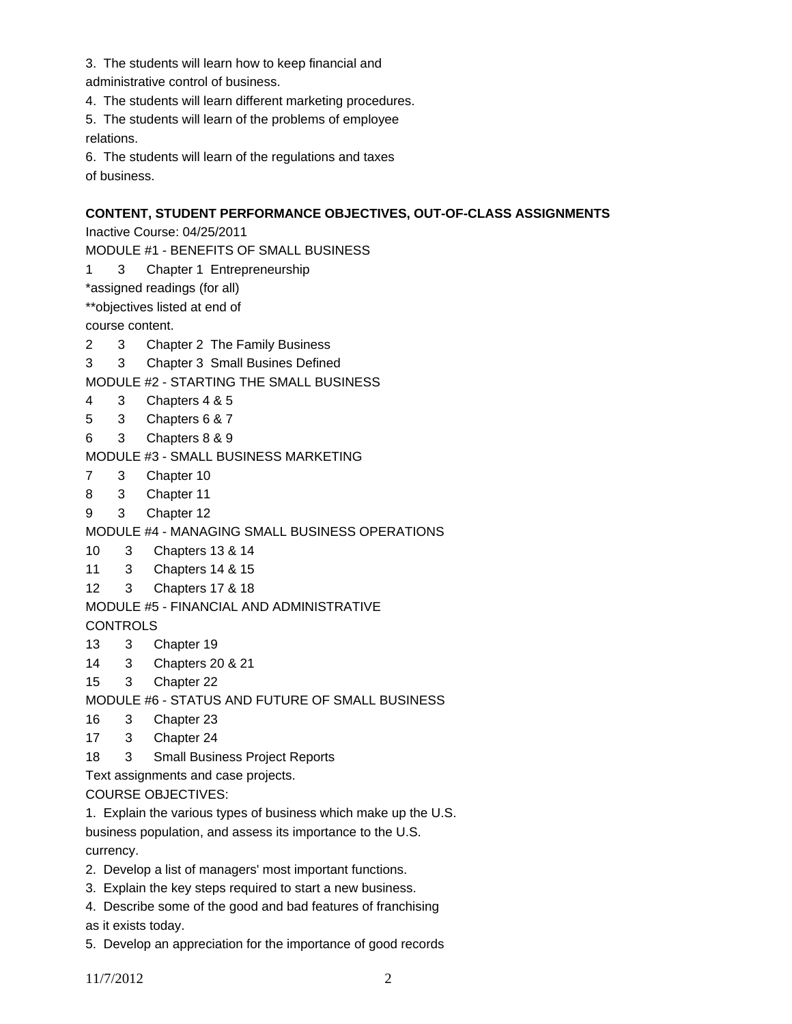3. The students will learn how to keep financial and

administrative control of business.

4. The students will learn different marketing procedures.

5. The students will learn of the problems of employee relations.

6. The students will learn of the regulations and taxes of business.

# **CONTENT, STUDENT PERFORMANCE OBJECTIVES, OUT-OF-CLASS ASSIGNMENTS**

Inactive Course: 04/25/2011

MODULE #1 - BENEFITS OF SMALL BUSINESS

1 3 Chapter 1 Entrepreneurship

\*assigned readings (for all)

\*\*objectives listed at end of

course content.

2 3 Chapter 2 The Family Business

3 3 Chapter 3 Small Busines Defined

MODULE #2 - STARTING THE SMALL BUSINESS

- 4 3 Chapters 4 & 5
- 5 3 Chapters 6 & 7
- 6 3 Chapters 8 & 9

MODULE #3 - SMALL BUSINESS MARKETING

- 7 3 Chapter 10
- 8 3 Chapter 11
- 9 3 Chapter 12

MODULE #4 - MANAGING SMALL BUSINESS OPERATIONS

10 3 Chapters 13 & 14

11 3 Chapters 14 & 15

12 3 Chapters 17 & 18

MODULE #5 - FINANCIAL AND ADMINISTRATIVE

**CONTROLS** 

- 13 3 Chapter 19
- 14 3 Chapters 20 & 21
- 15 3 Chapter 22

MODULE #6 - STATUS AND FUTURE OF SMALL BUSINESS

- 16 3 Chapter 23
- 17 3 Chapter 24
- 18 3 Small Business Project Reports

Text assignments and case projects.

COURSE OBJECTIVES:

1. Explain the various types of business which make up the U.S.

business population, and assess its importance to the U.S. currency.

- 2. Develop a list of managers' most important functions.
- 3. Explain the key steps required to start a new business.
- 4. Describe some of the good and bad features of franchising

as it exists today.

5. Develop an appreciation for the importance of good records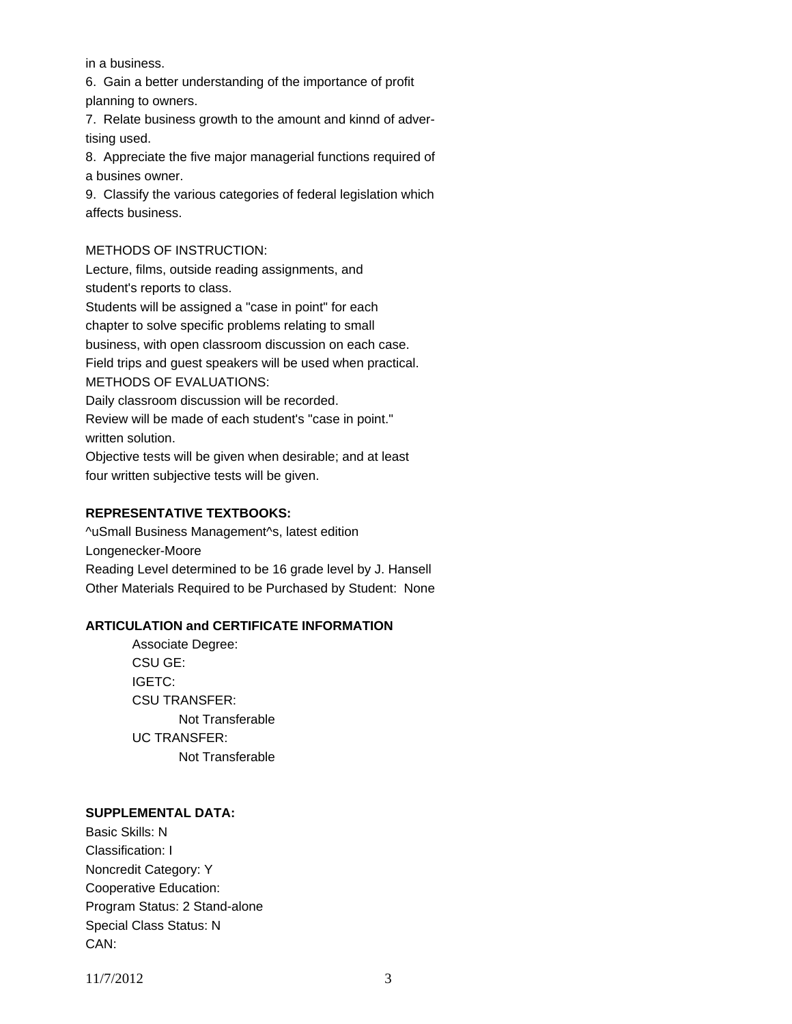in a business.

6. Gain a better understanding of the importance of profit planning to owners.

7. Relate business growth to the amount and kinnd of advertising used.

8. Appreciate the five major managerial functions required of a busines owner.

9. Classify the various categories of federal legislation which affects business.

### METHODS OF INSTRUCTION:

Lecture, films, outside reading assignments, and student's reports to class.

Students will be assigned a "case in point" for each chapter to solve specific problems relating to small business, with open classroom discussion on each case. Field trips and guest speakers will be used when practical. METHODS OF EVALUATIONS: Daily classroom discussion will be recorded. Review will be made of each student's "case in point."

written solution.

Objective tests will be given when desirable; and at least four written subjective tests will be given.

## **REPRESENTATIVE TEXTBOOKS:**

^uSmall Business Management^s, latest edition Longenecker-Moore Reading Level determined to be 16 grade level by J. Hansell Other Materials Required to be Purchased by Student: None

### **ARTICULATION and CERTIFICATE INFORMATION**

 Not Transferable UC TRANSFER: Not Transferable Associate Degree: CSU GE: IGETC: CSU TRANSFER:

### **SUPPLEMENTAL DATA:**

Basic Skills: N Classification: I Noncredit Category: Y Cooperative Education: Program Status: 2 Stand-alone Special Class Status: N CAN:

11/7/2012 3